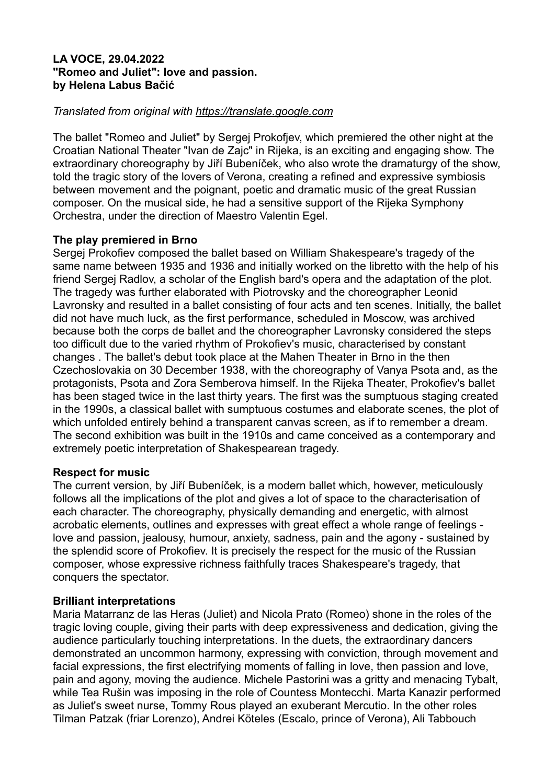### **LA VOCE, 29.04.2022 "Romeo and Juliet": love and passion. by Helena Labus Bačić**

### *Translated from original with https://translate.google.com*

The ballet "Romeo and Juliet" by Sergej Prokofjev, which premiered the other night at the Croatian National Theater "Ivan de Zajc" in Rijeka, is an exciting and engaging show. The extraordinary choreography by Jiří Bubeníček, who also wrote the dramaturgy of the show, told the tragic story of the lovers of Verona, creating a refined and expressive symbiosis between movement and the poignant, poetic and dramatic music of the great Russian composer. On the musical side, he had a sensitive support of the Rijeka Symphony Orchestra, under the direction of Maestro Valentin Egel.

### **The play premiered in Brno**

Sergej Prokofiev composed the ballet based on William Shakespeare's tragedy of the same name between 1935 and 1936 and initially worked on the libretto with the help of his friend Sergej Radlov, a scholar of the English bard's opera and the adaptation of the plot. The tragedy was further elaborated with Piotrovsky and the choreographer Leonid Lavronsky and resulted in a ballet consisting of four acts and ten scenes. Initially, the ballet did not have much luck, as the first performance, scheduled in Moscow, was archived because both the corps de ballet and the choreographer Lavronsky considered the steps too difficult due to the varied rhythm of Prokofiev's music, characterised by constant changes . The ballet's debut took place at the Mahen Theater in Brno in the then Czechoslovakia on 30 December 1938, with the choreography of Vanya Psota and, as the protagonists, Psota and Zora Semberova himself. In the Rijeka Theater, Prokofiev's ballet has been staged twice in the last thirty years. The first was the sumptuous staging created in the 1990s, a classical ballet with sumptuous costumes and elaborate scenes, the plot of which unfolded entirely behind a transparent canvas screen, as if to remember a dream. The second exhibition was built in the 1910s and came conceived as a contemporary and extremely poetic interpretation of Shakespearean tragedy.

### **Respect for music**

The current version, by Jiří Bubeníček, is a modern ballet which, however, meticulously follows all the implications of the plot and gives a lot of space to the characterisation of each character. The choreography, physically demanding and energetic, with almost acrobatic elements, outlines and expresses with great effect a whole range of feelings love and passion, jealousy, humour, anxiety, sadness, pain and the agony - sustained by the splendid score of Prokofiev. It is precisely the respect for the music of the Russian composer, whose expressive richness faithfully traces Shakespeare's tragedy, that conquers the spectator.

### **Brilliant interpretations**

Maria Matarranz de las Heras (Juliet) and Nicola Prato (Romeo) shone in the roles of the tragic loving couple, giving their parts with deep expressiveness and dedication, giving the audience particularly touching interpretations. In the duets, the extraordinary dancers demonstrated an uncommon harmony, expressing with conviction, through movement and facial expressions, the first electrifying moments of falling in love, then passion and love, pain and agony, moving the audience. Michele Pastorini was a gritty and menacing Tybalt, while Tea Rušin was imposing in the role of Countess Montecchi. Marta Kanazir performed as Juliet's sweet nurse, Tommy Rous played an exuberant Mercutio. In the other roles Tilman Patzak (friar Lorenzo), Andrei Köteles (Escalo, prince of Verona), Ali Tabbouch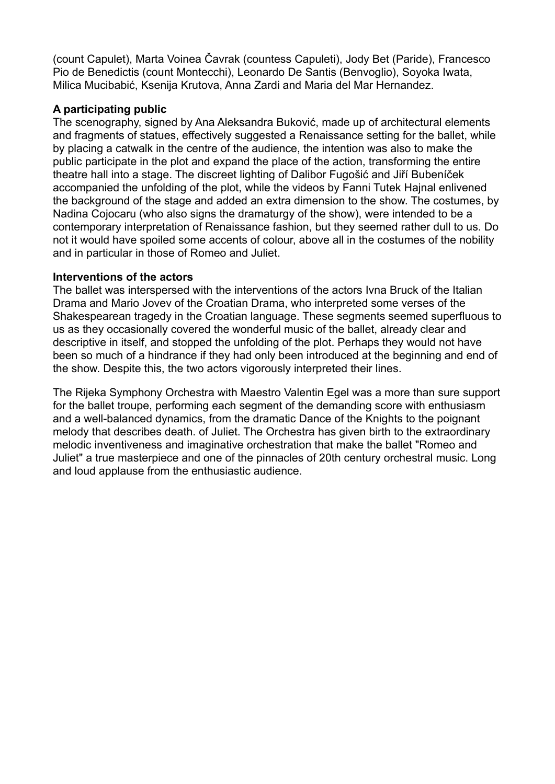(count Capulet), Marta Voinea Čavrak (countess Capuleti), Jody Bet (Paride), Francesco Pio de Benedictis (count Montecchi), Leonardo De Santis (Benvoglio), Soyoka Iwata, Milica Mucibabić, Ksenija Krutova, Anna Zardi and Maria del Mar Hernandez.

### **A participating public**

The scenography, signed by Ana Aleksandra Buković, made up of architectural elements and fragments of statues, effectively suggested a Renaissance setting for the ballet, while by placing a catwalk in the centre of the audience, the intention was also to make the public participate in the plot and expand the place of the action, transforming the entire theatre hall into a stage. The discreet lighting of Dalibor Fugošić and Jiří Bubeníček accompanied the unfolding of the plot, while the videos by Fanni Tutek Hajnal enlivened the background of the stage and added an extra dimension to the show. The costumes, by Nadina Cojocaru (who also signs the dramaturgy of the show), were intended to be a contemporary interpretation of Renaissance fashion, but they seemed rather dull to us. Do not it would have spoiled some accents of colour, above all in the costumes of the nobility and in particular in those of Romeo and Juliet.

### **Interventions of the actors**

The ballet was interspersed with the interventions of the actors Ivna Bruck of the Italian Drama and Mario Jovev of the Croatian Drama, who interpreted some verses of the Shakespearean tragedy in the Croatian language. These segments seemed superfluous to us as they occasionally covered the wonderful music of the ballet, already clear and descriptive in itself, and stopped the unfolding of the plot. Perhaps they would not have been so much of a hindrance if they had only been introduced at the beginning and end of the show. Despite this, the two actors vigorously interpreted their lines.

The Rijeka Symphony Orchestra with Maestro Valentin Egel was a more than sure support for the ballet troupe, performing each segment of the demanding score with enthusiasm and a well-balanced dynamics, from the dramatic Dance of the Knights to the poignant melody that describes death. of Juliet. The Orchestra has given birth to the extraordinary melodic inventiveness and imaginative orchestration that make the ballet "Romeo and Juliet" a true masterpiece and one of the pinnacles of 20th century orchestral music. Long and loud applause from the enthusiastic audience.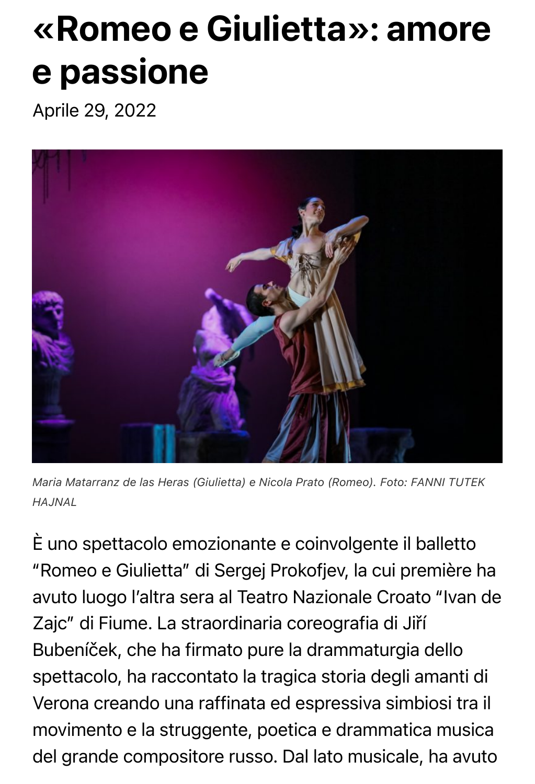# «Romeo e Giulietta»: amore e passione

Aprile 29, 2022



*Maria Matarranz de las Heras (Giulietta) e Nicola Prato (Romeo). Foto: FANNI TUTEK HAJNAL*

È uno spettacolo emozionante e coinvolgente il balletto "Romeo e Giulietta" di Sergej Prokofjev, la cui première ha avuto luogo l'altra sera al Teatro Nazionale Croato "Ivan de Zajc" di Fiume. La straordinaria coreografia di Jiří Bubeníček, che ha firmato pure la drammaturgia dello spettacolo, ha raccontato la tragica storia degli amanti di Verona creando una raffinata ed espressiva simbiosi tra il movimento e la struggente, poetica e drammatica musica del grande compositore russo. Dal lato musicale, ha avuto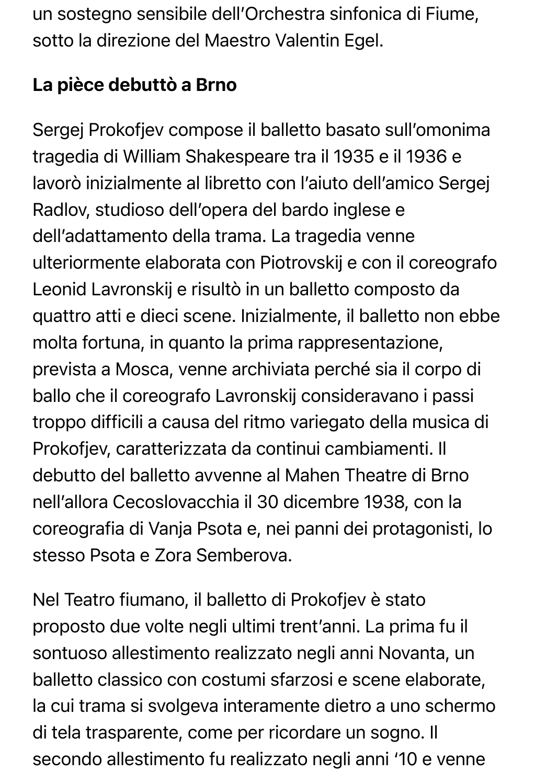un sostegno sensibile dell'Orchestra sinfonica di Fiume, sotto la direzione del Maestro Valentin Egel.

## La pièce debuttò a Brno

Sergej Prokofjev compose il balletto basato sull'omonima tragedia di William Shakespeare tra il 1935 e il 1936 e lavorò inizialmente al libretto con l'aiuto dell'amico Sergej Radlov, studioso dell'opera del bardo inglese e dell'adattamento della trama. La tragedia venne ulteriormente elaborata con Piotrovskij e con il coreografo Leonid Lavronskij e risultò in un balletto composto da quattro atti e dieci scene. Inizialmente, il balletto non ebbe molta fortuna, in quanto la prima rappresentazione, prevista a Mosca, venne archiviata perché sia il corpo di ballo che il coreografo Lavronskij consideravano i passi troppo difficili a causa del ritmo variegato della musica di Prokofjev, caratterizzata da continui cambiamenti. Il debutto del balletto avvenne al Mahen Theatre di Brno nell'allora Cecoslovacchia il 30 dicembre 1938, con la coreografia di Vanja Psota e, nei panni dei protagonisti, lo stesso Psota e Zora Semberova.

Nel Teatro fiumano, il balletto di Prokofjev è stato proposto due volte negli ultimi trent'anni. La prima fu il sontuoso allestimento realizzato negli anni Novanta, un balletto classico con costumi sfarzosi e scene elaborate, la cui trama si svolgeva interamente dietro a uno schermo di tela trasparente, come per ricordare un sogno. Il secondo allestimento fu realizzato negli anni '10 e venne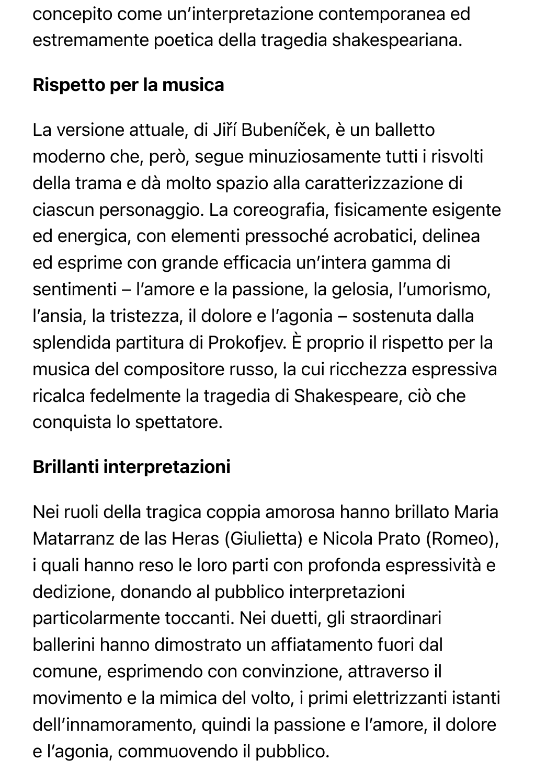concepito come un'interpretazione contemporanea ed estremamente poetica della tragedia shakespeariana.

# Rispetto per la musica

La versione attuale, di Jiří Bubeníček, è un balletto moderno che, però, segue minuziosamente tutti i risvolti della trama e dà molto spazio alla caratterizzazione di ciascun personaggio. La coreografia, fisicamente esigente ed energica, con elementi pressoché acrobatici, delinea ed esprime con grande efficacia un'intera gamma di sentimenti – l'amore e la passione, la gelosia, l'umorismo, l'ansia, la tristezza, il dolore e l'agonia – sostenuta dalla splendida partitura di Prokofjev. È proprio il rispetto per la musica del compositore russo, la cui ricchezza espressiva ricalca fedelmente la tragedia di Shakespeare, ciò che conquista lo spettatore.

# Brillanti interpretazioni

Nei ruoli della tragica coppia amorosa hanno brillato Maria Matarranz de las Heras (Giulietta) e Nicola Prato (Romeo), i quali hanno reso le loro parti con profonda espressività e dedizione, donando al pubblico interpretazioni particolarmente toccanti. Nei duetti, gli straordinari ballerini hanno dimostrato un affiatamento fuori dal comune, esprimendo con convinzione, attraverso il movimento e la mimica del volto, i primi elettrizzanti istanti dell'innamoramento, quindi la passione e l'amore, il dolore e l'agonia, commuovendo il pubblico.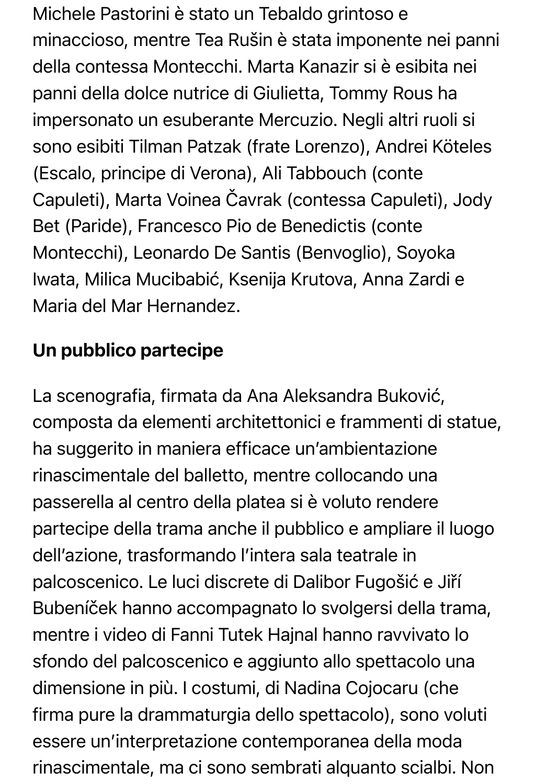Michele Pastorini è stato un Tebaldo grintoso e minaccioso, mentre Tea Rušin è stata imponente nei panni della contessa Montecchi. Marta Kanazir si è esibita nei panni della dolce nutrice di Giulietta, Tommy Rous ha impersonato un esuberante Mercuzio. Negli altri ruoli si sono esibiti Tilman Patzak (frate Lorenzo), Andrei Köteles (Escalo, principe di Verona), Ali Tabbouch (conte Capuleti), Marta Voinea Čavrak (contessa Capuleti), Jody Bet (Paride), Francesco Pio de Benedictis (conte Montecchi), Leonardo De Santis (Benvoglio), Soyoka Iwata, Milica Mucibabić, Ksenija Krutova, Anna Zardi e Maria del Mar Hernandez.

## Un pubblico partecipe

La scenografia, firmata da Ana Aleksandra Buković, composta da elementi architettonici e frammenti di statue, ha suggerito in maniera efficace un'ambientazione rinascimentale del balletto, mentre collocando una passerella al centro della platea si è voluto rendere partecipe della trama anche il pubblico e ampliare il luogo dell'azione, trasformando l'intera sala teatrale in palcoscenico. Le luci discrete di Dalibor Fugošić e Jiří Bubeníček hanno accompagnato lo svolgersi della trama, mentre i video di Fanni Tutek Hajnal hanno ravvivato lo sfondo del palcoscenico e aggiunto allo spettacolo una dimensione in più. I costumi, di Nadina Cojocaru (che firma pure la drammaturgia dello spettacolo), sono voluti essere un'interpretazione contemporanea della moda rinascimentale, ma ci sono sembrati alquanto scialbi. Non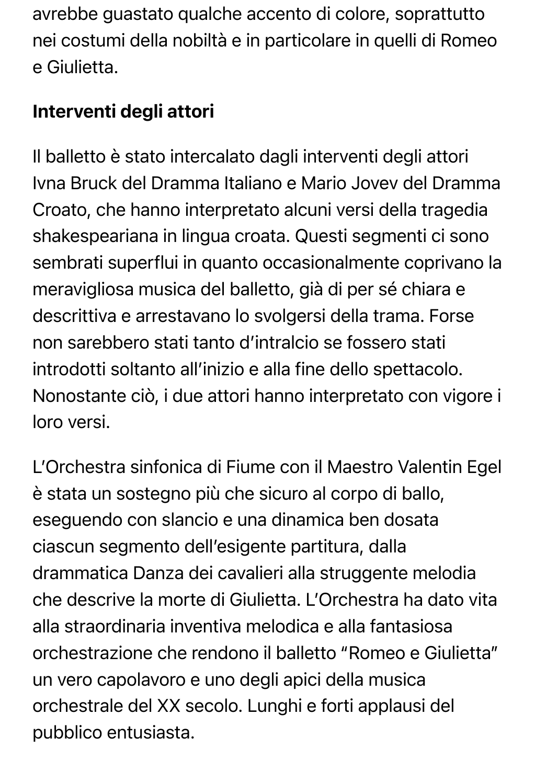avrebbe guastato qualche accento di colore, soprattutto nei costumi della nobiltà e in particolare in quelli di Romeo e Giulietta.

## Interventi degli attori

Il balletto è stato intercalato dagli interventi degli attori Ivna Bruck del Dramma Italiano e Mario Jovev del Dramma Croato, che hanno interpretato alcuni versi della tragedia shakespeariana in lingua croata. Questi segmenti ci sono sembrati superflui in quanto occasionalmente coprivano la meravigliosa musica del balletto, già di per sé chiara e descrittiva e arrestavano lo svolgersi della trama. Forse non sarebbero stati tanto d'intralcio se fossero stati introdotti soltanto all'inizio e alla fine dello spettacolo. Nonostante ciò, i due attori hanno interpretato con vigore i loro versi.

L'Orchestra sinfonica di Fiume con il Maestro Valentin Egel è stata un sostegno più che sicuro al corpo di ballo, eseguendo con slancio e una dinamica ben dosata ciascun segmento dell'esigente partitura, dalla drammatica Danza dei cavalieri alla struggente melodia che descrive la morte di Giulietta. L'Orchestra ha dato vita alla straordinaria inventiva melodica e alla fantasiosa orchestrazione che rendono il balletto "Romeo e Giulietta" un vero capolavoro e uno degli apici della musica orchestrale del XX secolo. Lunghi e forti applausi del pubblico entusiasta.